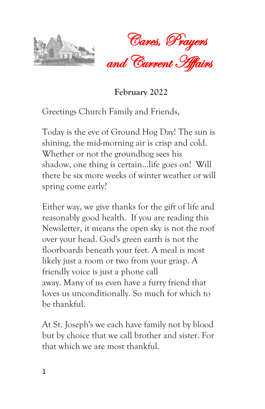



 **February <sup>2022</sup>**

Greetings Church Family and Friends,

Today is the eve of Ground Hog Day! The sun is shining, the mid-morning air is crisp and cold. Whether or not the groundhog sees his shadow, one thing is certain...life goes on! Will there be six more weeks of winter weather or will spring come early?

Either way, we give thanks for the gift of life and reasonably good health. If you are reading this Newsletter, it means the open sky is not the roof over your head. God's green earth is not the floorboards beneath your feet. A meal is most likely just a room or two from your grasp. A friendly voice is just a phone call away. Many of us even have a furry friend that loves us unconditionally. So much for which to be thankful.

At St. Joseph's we each have family not by blood but by choice that we call brother and sister. For that which we are most thankful.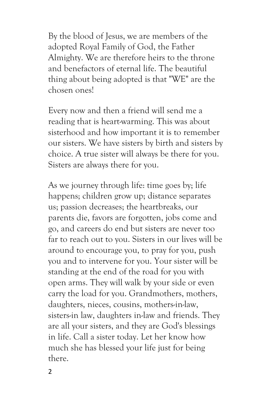By the blood of Jesus, we are members of the adopted Royal Family of God, the Father Almighty. We are therefore heirs to the throne and benefactors of eternal life. The beautiful thing about being adopted is that "WE" are the chosen ones!

Every now and then a friend will send me a reading that is heart-warming. This was about sisterhood and how important it is to remember our sisters. We have sisters by birth and sisters by choice. A true sister will always be there for you. Sisters are always there for you.

As we journey through life: time goes by; life happens; children grow up; distance separates us; passion decreases; the heartbreaks, our parents die, favors are forgotten, jobs come and go, and careers do end but sisters are never too far to reach out to you. Sisters in our lives will be around to encourage you, to pray for you, push you and to intervene for you. Your sister will be standing at the end of the road for you with open arms. They will walk by your side or even carry the load for you. Grandmothers, mothers, daughters, nieces, cousins, mothers-in-law, sisters-in law, daughters in-law and friends. They are all your sisters, and they are God's blessings in life. Call a sister today. Let her know how much she has blessed your life just for being there.

2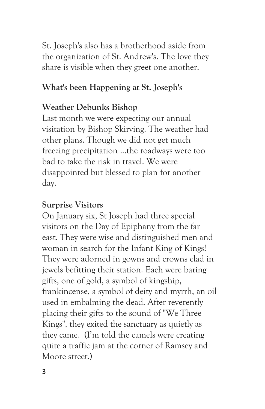St. Joseph's also has a brotherhood aside from the organization of St. Andrew's. The love they share is visible when they greet one another.

#### **What's been Happening at St. Joseph's**

## **Weather Debunks Bishop**

Last month we were expecting our annual visitation by Bishop Skirving. The weather had other plans. Though we did not get much freezing precipitation ...the roadways were too bad to take the risk in travel. We were disappointed but blessed to plan for another day.

#### **Surprise Visitors**

On January six, St Joseph had three special visitors on the Day of Epiphany from the far east. They were wise and distinguished men and woman in search for the Infant King of Kings! They were adorned in gowns and crowns clad in jewels befitting their station. Each were baring gifts, one of gold, a symbol of kingship, frankincense, a symbol of deity and myrrh, an oil used in embalming the dead. After reverently placing their gifts to the sound of "We Three Kings", they exited the sanctuary as quietly as they came. (I'm told the camels were creating quite a traffic jam at the corner of Ramsey and Moore street.)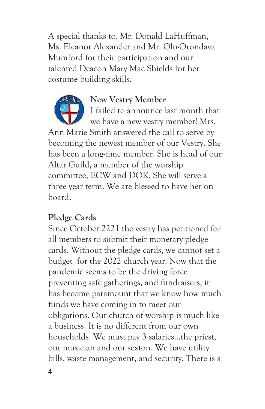A special thanks to, Mr. Donald LaHuffman, Ms. Eleanor Alexander and Mr. Olu-Orondava Mumford for their participation and our talented Deacon Mary Mac Shields for her costume building skills.



#### **New Vestry Member**

I failed to announce last month that we have a new vestry member! Mrs. Ann Marie Smith answered the call to serve by becoming the newest member of our Vestry. She has been a long-time member. She is head of our Altar Guild, a member of the worship committee, ECW and DOK. She will serve a three year term. We are blessed to have her on board.

#### **Pledge Cards**

Since October 2221 the vestry has petitioned for all members to submit their monetary pledge cards. Without the pledge cards, we cannot set a budget for the 2022 church year. Now that the pandemic seems to be the driving force preventing safe gatherings, and fundraisers, it has become paramount that we know how much funds we have coming in to meet our obligations. Our church of worship is much like a business. It is no different from our own households. We must pay 3 salaries...the priest, our musician and our sexton. We have utility bills, waste management, and security. There is a

4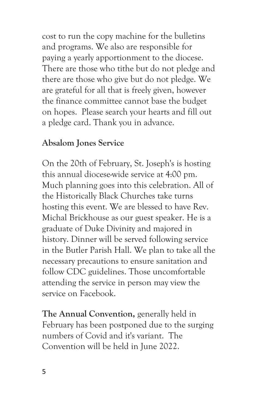cost to run the copy machine for the bulletins and programs. We also are responsible for paying a yearly apportionment to the diocese. There are those who tithe but do not pledge and there are those who give but do not pledge. We are grateful for all that is freely given, however the finance committee cannot base the budget on hopes. Please search your hearts and fill out a pledge card. Thank you in advance.

#### **Absalom Jones Service**

On the 20th of February, St. Joseph's is hosting this annual diocese-wide service at 4:00 pm. Much planning goes into this celebration. All of the Historically Black Churches take turns hosting this event. We are blessed to have Rev. Michal Brickhouse as our guest speaker. He is a graduate of Duke Divinity and majored in history. Dinner will be served following service in the Butler Parish Hall. We plan to take all the necessary precautions to ensure sanitation and follow CDC guidelines. Those uncomfortable attending the service in person may view the service on Facebook.

**The Annual Convention,** generally held in February has been postponed due to the surging numbers of Covid and it's variant. The Convention will be held in June 2022.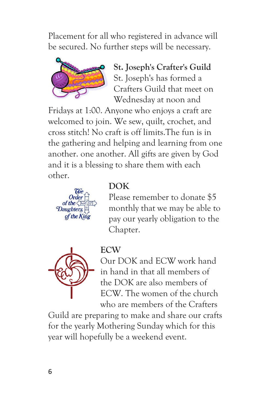Placement for all who registered in advance will be secured. No further steps will be necessary.



**St. Joseph's Crafter's Guild** St. Joseph's has formed a Crafters Guild that meet on Wednesday at noon and

Fridays at 1:00. Anyone who enjoys a craft are welcomed to join. We sew, quilt, crochet, and cross stitch! No craft is off limits.The fun is in the gathering and helping and learning from one another. one another. All gifts are given by God and it is a blessing to share them with each other.



#### **DOK**

**ECW**

Please remember to donate \$5 monthly that we may be able to pay our yearly obligation to the Chapter.



Our DOK and ECW work hand in hand in that all members of the DOK are also members of ECW. The women of the church who are members of the Crafters

Guild are preparing to make and share our crafts for the yearly Mothering Sunday which for this year will hopefully be a weekend event.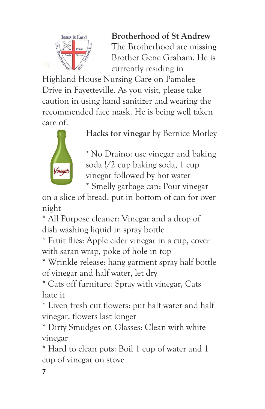

**Brotherhood of St Andrew** The Brotherhood are missing Brother Gene Graham. He is currently residing in

Highland House Nursing Care on Pamalee Drive in Fayetteville. As you visit, please take caution in using hand sanitizer and wearing the recommended face mask. He is being well taken care of.



**Hacks for vinegar** by Bernice Motley

\* No Draino: use vinegar and baking soda !/2 cup baking soda, 1 cup vinegar followed by hot water \* Smelly garbage can: Pour vinegar

on a slice of bread, put in bottom of can for over night

\* All Purpose cleaner: Vinegar and a drop of dish washing liquid in spray bottle

\* Fruit flies: Apple cider vinegar in a cup, cover with saran wrap, poke of hole in top

\* Wrinkle release: hang garment spray half bottle of vinegar and half water, let dry

\* Cats off furniture: Spray with vinegar, Cats hate it

\* Liven fresh cut flowers: put half water and half vinegar. flowers last longer

\* Dirty Smudges on Glasses: Clean with white vinegar

\* Hard to clean pots: Boil 1 cup of water and 1 cup of vinegar on stove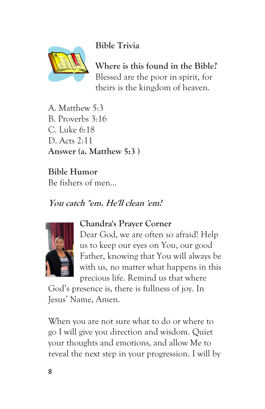**Bible Trivia**



**Where is this found in the Bible?**  Blessed are the poor in spirit, for theirs is the kingdom of heaven.

A. Matthew 5:3 B. Proverbs 3:16 C. Luke 6:18 D. Acts 2:11 **Answer (a. Matthew 5:3 )**

**Bible Humor** Be fishers of men...

## **You catch "em. He'll clean 'em!**



#### **Chandra's Prayer Corner**

Dear God, we are often so afraid! Help us to keep our eyes on You, our good Father, knowing that You will always be with us, no matter what happens in this precious life. Remind us that where

God's presence is, there is fullness of joy. In Jesus' Name, Amen.

When you are not sure what to do or where to go I will give you direction and wisdom. Quiet your thoughts and emotions, and allow Me to reveal the next step in your progression. I will by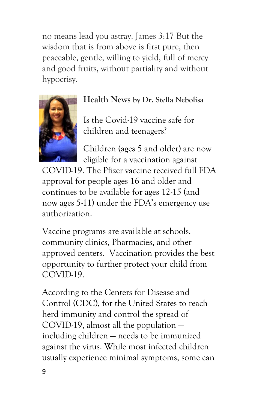no means lead you astray. James 3:17 But the wisdom that is from above is first pure, then peaceable, gentle, willing to yield, full of mercy and good fruits, without partiality and without hypocrisy.



#### **Health News by Dr. Stella Nebolisa**

Is the Covid-19 vaccine safe for children and teenagers?

Children (ages 5 and older) are now eligible for a vaccination against

COVID-19. The Pfizer vaccine received full FDA approval for people ages 16 and older and continues to be available for ages 12-15 (and now ages 5-11) under the FDA's emergency use authorization.

Vaccine programs are available at schools, community clinics, Pharmacies, and other approved centers. Vaccination provides the best opportunity to further protect your child from COVID-19.

According to the Centers for Disease and Control (CDC), for the United States to reach herd immunity and control the spread of COVID-19, almost all the population including children — needs to be immunized against the virus. While most infected children usually experience minimal symptoms, some can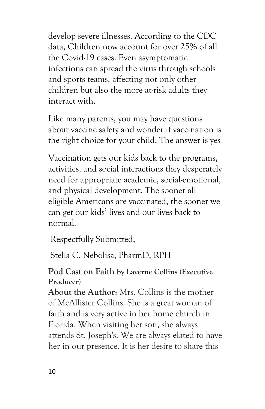develop severe illnesses. According to the CDC data, Children now account for over 25% of all the Covid-19 cases. Even asymptomatic infections can spread the virus through schools and sports teams, affecting not only other children but also the more at-risk adults they interact with.

Like many parents, you may have questions about vaccine safety and wonder if vaccination is the right choice for your child. The answer is yes

Vaccination gets our kids back to the programs, activities, and social interactions they desperately need for appropriate academic, social-emotional, and physical development. The sooner all eligible Americans are vaccinated, the sooner we can get our kids' lives and our lives back to normal.

Respectfully Submitted,

Stella C. Nebolisa, PharmD, RPH

#### **Pod Cast on Faith by Laverne Collins (Executive Producer)**

**About the Author:** Mrs. Collins is the mother of McAllister Collins. She is a great woman of faith and is very active in her home church in Florida. When visiting her son, she always attends St. Joseph's. We are always elated to have her in our presence. It is her desire to share this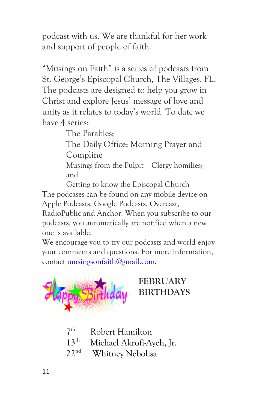podcast with us. We are thankful for her work and support of people of faith.

"Musings on Faith" is a series of podcasts from St. George's Episcopal Church, The Villages, FL. The podcasts are designed to help you grow in Christ and explore Jesus' message of love and unity as it relates to today's world. To date we have 4 series:

The Parables;

The Daily Office: Morning Prayer and Compline

Musings from the Pulpit – Clergy homilies; and

Getting to know the Episcopal Church The podcases can be found on any mobile device on Apple Podcasts, Google Podcasts, Overcast,

RadioPublic and Anchor. When you subscribe to our podcasts, you automatically are notified when a new one is available.

We encourage you to try our podcasts and world enjoy your comments and questions. For more information, contact <musingsonfaith@gmail.com.>



## **FEBRUARY BIRTHDAYS**

- $7<sup>th</sup>$ Robert Hamilton
- 13<sup>th</sup> Michael Akrofi-Ayeh, Jr.
- 22nd Whitney Nebolisa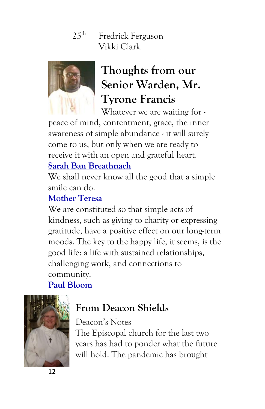## $25<sup>th</sup>$  Fredrick Ferguson Vikki Clark



# **Thoughts from our Senior Warden, Mr. Tyrone Francis**

Whatever we are waiting for -

peace of mind, contentment, grace, the inner awareness of simple abundance - it will surely come to us, but only when we are ready to receive it with an open and grateful heart.

## **[Sarah Ban Breathnach](https://www.brainyquote.com/authors/sarah-ban-breathnach-quotes)**

We shall never know all the good that a simple smile can do.

## **[Mother Teresa](https://www.brainyquote.com/authors/mother-teresa-quotes)**

We are constituted so that simple acts of kindness, such as giving to charity or expressing gratitude, have a positive effect on our long-term moods. The key to the happy life, it seems, is the good life: a life with sustained relationships, challenging work, and connections to community.

## **[Paul Bloom](https://www.brainyquote.com/authors/paul-bloom-quotes)**



## **From Deacon Shields**

#### Deacon's Notes

The Episcopal church for the last two years has had to ponder what the future will hold. The pandemic has brought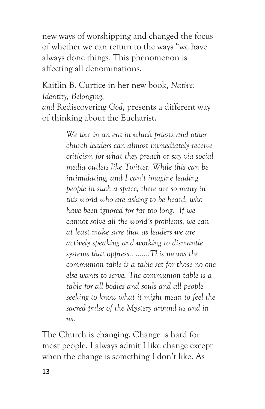new ways of worshipping and changed the focus of whether we can return to the ways "we have always done things. This phenomenon is affecting all denominations.

## Kaitlin B. Curtice in her new book, *Native: Identity, Belonging,*

*and* Rediscovering *God,* presents a different way of thinking about the Eucharist.

> *We live in an era in which priests and other church leaders can almost immediately receive criticism for what they preach or say via social media outlets like Twitter. While this can be intimidating, and I can't imagine leading people in such a space, there are so many in this world who are asking to be heard, who have been ignored for far too long. If we cannot solve all the world's problems, we can at least make sure that as leaders we are actively speaking and working to dismantle systems that oppress.. .......This means the communion table is a table set for those no one else wants to serve. The communion table is a table for all bodies and souls and all people seeking to know what it might mean to feel the sacred pulse of the Mystery around us and in us*.

The Church is changing. Change is hard for most people. I always admit I like change except when the change is something I don't like. As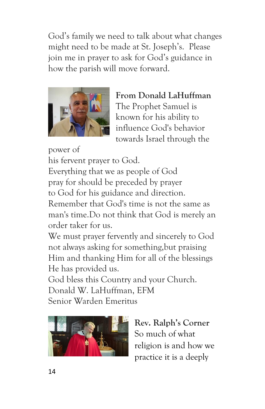God's family we need to talk about what changes might need to be made at St. Joseph's. Please join me in prayer to ask for God's guidance in how the parish will move forward.



**From Donald LaHuffman** The Prophet Samuel is known for his ability to influence God's behavior towards Israel through the

power of his fervent prayer to God. Everything that we as people of God pray for should be preceded by prayer to God for his guidance and direction. Remember that God's time is not the same as man's time.Do not think that God is merely an order taker for us.

We must prayer fervently and sincerely to God not always asking for something,but praising Him and thanking Him for all of the blessings He has provided us.

God bless this Country and your Church. Donald W. LaHuffman, EFM Senior Warden Emeritus



**Rev. Ralph's Corner** So much of what religion is and how we practice it is a deeply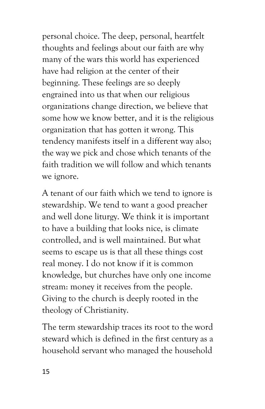personal choice. The deep, personal, heartfelt thoughts and feelings about our faith are why many of the wars this world has experienced have had religion at the center of their beginning. These feelings are so deeply engrained into us that when our religious organizations change direction, we believe that some how we know better, and it is the religious organization that has gotten it wrong. This tendency manifests itself in a different way also; the way we pick and chose which tenants of the faith tradition we will follow and which tenants we ignore.

A tenant of our faith which we tend to ignore is stewardship. We tend to want a good preacher and well done liturgy. We think it is important to have a building that looks nice, is climate controlled, and is well maintained. But what seems to escape us is that all these things cost real money. I do not know if it is common knowledge, but churches have only one income stream: money it receives from the people. Giving to the church is deeply rooted in the theology of Christianity.

The term stewardship traces its root to the word steward which is defined in the first century as a household servant who managed the household